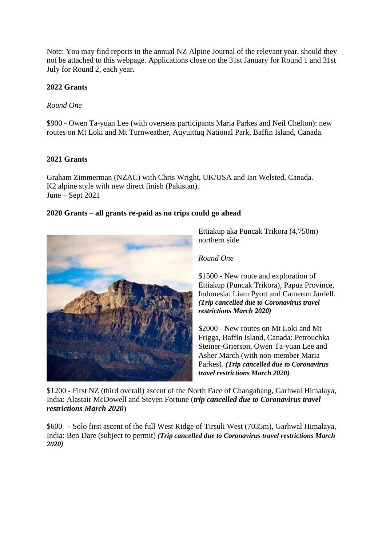Note: You may find reports in the annual NZ Alpine Journal of the relevant year, should they not be attached to this webpage. Applications close on the 31st January for Round 1 and 31st July for Round 2, each year.

## **2022 Grants**

#### *Round One*

\$900 - Owen Ta-yuan Lee (with overseas participants Maria Parkes and Neil Chelton): new routes on Mt Loki and Mt Turnweather, Auyuittuq National Park, Baffin Island, Canada.

#### **2021 Grants**

Graham Zimmerman (NZAC) with Chris Wright, UK/USA and Ian Welsted, Canada. K2 alpine style with new direct finish (Pakistan). June – Sept 2021

## **2020 Grants – all grants re-paid as no trips could go ahead**



Ettiakup aka Puncak Trikora (4,750m) northern side

#### *Round One*

\$1500 - New route and exploration of Ettiakup (Puncak Trikora), Papua Province, Indonesia: Liam Pyott and Cameron Jardell. *(Trip cancelled due to Coronavirus travel restrictions March 2020)*

\$2000 - New routes on Mt Loki and Mt Frigga, Baffin Island, Canada: Petrouchka Steiner-Grierson, Owen Ta-yuan Lee and Asher March (with non-member Maria Parkes). *(Trip cancelled due to Coronavirus travel restrictions March 2020)*

\$1200 - First NZ (third overall) ascent of the North Face of Changabang, Garhwal Himalaya, India: Alastair McDowell and Steven Fortune (*trip cancelled due to Coronavirus travel restrictions March 2020*)

\$600 - Solo first ascent of the full West Ridge of Tirsuli West (7035m), Garhwal Himalaya, India: Ben Dare (subject to permit) *(Trip cancelled due to Coronavirus travel restrictions March 2020)*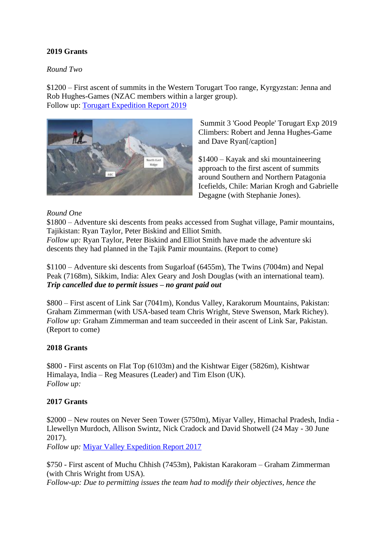# **2019 Grants**

#### *Round Two*

\$1200 – First ascent of summits in the Western Torugart Too range, Kyrgyzstan: Jenna and Rob Hughes-Games (NZAC members within a larger group). Follow up: [Torugart Expedition Report 2019](https://alpineclub.org.nz/parkside/wp-content/uploads/2019/11/Torugart-Expedition-Trip-Report-2019.pdf)



Summit 3 'Good People' Torugart Exp 2019 Climbers: Robert and Jenna Hughes-Game and Dave Ryan[/caption]

\$1400 – Kayak and ski mountaineering approach to the first ascent of summits around Southern and Northern Patagonia Icefields, Chile: Marian Krogh and Gabrielle Degagne (with Stephanie Jones).

#### *Round One*

\$1800 – Adventure ski descents from peaks accessed from Sughat village, Pamir mountains, Tajikistan: Ryan Taylor, Peter Biskind and Elliot Smith.

*Follow up:* Ryan Taylor, Peter Biskind and Elliot Smith have made the adventure ski descents they had planned in the Tajik Pamir mountains. (Report to come)

\$1100 – Adventure ski descents from Sugarloaf (6455m), The Twins (7004m) and Nepal Peak (7168m), Sikkim, India: Alex Geary and Josh Douglas (with an international team). *Trip cancelled due to permit issues – no grant paid out*

\$800 – First ascent of Link Sar (7041m), Kondus Valley, Karakorum Mountains, Pakistan: Graham Zimmerman (with USA-based team Chris Wright, Steve Swenson, Mark Richey). *Follow up:* Graham Zimmerman and team succeeded in their ascent of Link Sar, Pakistan. (Report to come)

## **2018 Grants**

\$800 - First ascents on Flat Top (6103m) and the Kishtwar Eiger (5826m), Kishtwar Himalaya, India – Reg Measures (Leader) and Tim Elson (UK). *Follow up:*

#### **2017 Grants**

\$2000 – New routes on Never Seen Tower (5750m), Miyar Valley, Himachal Pradesh, India - Llewellyn Murdoch, Allison Swintz, Nick Cradock and David Shotwell (24 May - 30 June 2017).

*Follow up:* [Miyar Valley Expedition Report 2017](https://alpineclub.org.nz/parkside/wp-content/uploads/2016/01/Miyar-Valley-Exp-Report-small-19052017-03072017.pdf)

\$750 - First ascent of Muchu Chhish (7453m), Pakistan Karakoram – Graham Zimmerman (with Chris Wright from USA).

*Follow-up: Due to permitting issues the team had to modify their objectives, hence the*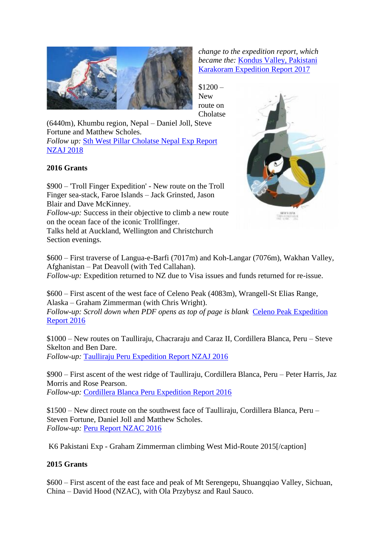

*change to the expedition report, which became the:* [Kondus Valley, Pakistani](https://alpineclub.org.nz/parkside/wp-content/uploads/2018/11/Kondus-Valley-2017-Zimmmerman-formerly-Muchu-Chhish.pdf)  [Karakoram Expedition Report 2017](https://alpineclub.org.nz/parkside/wp-content/uploads/2018/11/Kondus-Valley-2017-Zimmmerman-formerly-Muchu-Chhish.pdf)

 $$1200 -$ New route on Cholatse

(6440m), Khumbu region, Nepal – Daniel Joll, Steve Fortune and Matthew Scholes. *Follow up:* [Sth West Pillar Cholatse Nepal Exp Report](https://alpineclub.org.nz/parkside/wp-content/uploads/2020/02/Sth-West-Pillar-Cholatse-Nepal-Exp-Report-NZAJ-2018.pdf)  [NZAJ 2018](https://alpineclub.org.nz/parkside/wp-content/uploads/2020/02/Sth-West-Pillar-Cholatse-Nepal-Exp-Report-NZAJ-2018.pdf)

## **2016 Grants**

\$900 – 'Troll Finger Expedition' - New route on the Troll Finger sea-stack, Faroe Islands – Jack Grinsted, Jason Blair and Dave McKinney. *Follow-up:* Success in their objective to climb a new route on the ocean face of the iconic Trollfinger. Talks held at Auckland, Wellington and Christchurch Section evenings.



\$600 – First traverse of Langua-e-Barfi (7017m) and Koh-Langar (7076m), Wakhan Valley, Afghanistan – Pat Deavoll (with Ted Callahan). *Follow-up:* Expedition returned to NZ due to Visa issues and funds returned for re-issue.

\$600 – First ascent of the west face of Celeno Peak (4083m), Wrangell-St Elias Range, Alaska – Graham Zimmerman (with Chris Wright). *Follow-up: Scroll down when PDF opens as top of page is blank* [Celeno Peak Expedition](http://alpineclub.org.nz/parkside/wp-content/uploads/2016/01/Celeno-Peak-2016-Exp-Report-Graham-Zimmerman.pdf)  [Report 2016](http://alpineclub.org.nz/parkside/wp-content/uploads/2016/01/Celeno-Peak-2016-Exp-Report-Graham-Zimmerman.pdf)

\$1000 – New routes on Taulliraju, Chacraraju and Caraz II, Cordillera Blanca, Peru – Steve Skelton and Ben Dare. *Follow-up:* [Taulliraju Peru Expedition Report NZAJ 2016](https://alpineclub.org.nz/parkside/wp-content/uploads/2020/02/Taulliraju-Peru-Exp-Report-Steve-Skelton-NZAJ_2016_part2_66-69.pdf)

\$900 – First ascent of the west ridge of Taulliraju, Cordillera Blanca, Peru – Peter Harris, Jaz Morris and Rose Pearson. *Follow-up:* [Cordillera Blanca Peru Expedition Report 2016](http://alpineclub.org.nz/parkside/wp-content/uploads/2016/01/Cordilera-Blanca-Peru-Exp-Harris-Morris-Pearson-2016.pdf)

\$1500 – New direct route on the southwest face of Taulliraju, Cordillera Blanca, Peru – Steven Fortune, Daniel Joll and Matthew Scholes. *Follow-up:* [Peru Report NZAC 2016](http://alpineclub.org.nz/parkside/wp-content/uploads/2016/01/Peru-Report-NZAC-2016.pdf)

K6 Pakistani Exp - Graham Zimmerman climbing West Mid-Route 2015[/caption]

#### **2015 Grants**

\$600 – First ascent of the east face and peak of Mt Serengepu, Shuangqiao Valley, Sichuan, China – David Hood (NZAC), with Ola Przybysz and Raul Sauco.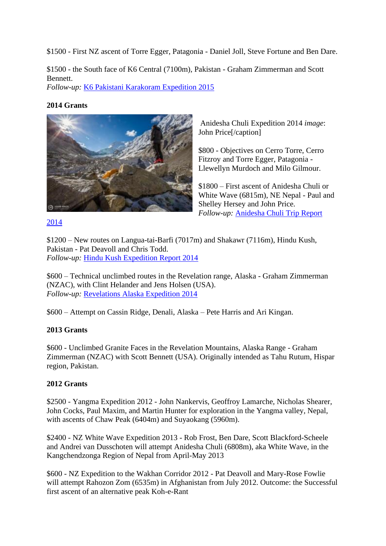\$1500 - First NZ ascent of Torre Egger, Patagonia - Daniel Joll, Steve Fortune and Ben Dare.

\$1500 - the South face of K6 Central (7100m), Pakistan - Graham Zimmerman and Scott Bennett.

*Follow-up:* [K6 Pakistani Karakoram Expedition 2015](http://alpineclub.org.nz/parkside/wp-content/uploads/2016/01/Nangmah-2015-Exp-Report-Graham-Zimmerman.pdf)

# **2014 Grants**



Anidesha Chuli Expedition 2014 *image*: John Price[/caption]

\$800 - Objectives on Cerro Torre, Cerro Fitzroy and Torre Egger, Patagonia - Llewellyn Murdoch and Milo Gilmour.

\$1800 – First ascent of Anidesha Chuli or White Wave (6815m), NE Nepal - Paul and Shelley Hersey and John Price. *Follow-up:* [Anidesha Chuli Trip Report](http://alpineclub.org.nz/parkside/wp-content/uploads/2016/01/Anidesha-Chuli-Trip-Report-Edited-2014.pdf) 

# [2014](http://alpineclub.org.nz/parkside/wp-content/uploads/2016/01/Anidesha-Chuli-Trip-Report-Edited-2014.pdf)

\$1200 – New routes on Langua-tai-Barfi (7017m) and Shakawr (7116m), Hindu Kush, Pakistan - Pat Deavoll and Chris Todd. *Follow-up:* [Hindu Kush Expedition Report 2014](http://alpineclub.org.nz/parkside/wp-content/uploads/2016/01/Hindu-Kush-Report-Pat-Deavoll-2014.pdf)

\$600 – Technical unclimbed routes in the Revelation range, Alaska - Graham Zimmerman (NZAC), with Clint Helander and Jens Holsen (USA). *Follow-up:* [Revelations Alaska Expedition 2014](http://alpineclub.org.nz/parkside/wp-content/uploads/2016/01/Revelations_Alaska_Expedition_2014.pdf)

\$600 – Attempt on Cassin Ridge, Denali, Alaska – Pete Harris and Ari Kingan.

## **2013 Grants**

\$600 - Unclimbed Granite Faces in the Revelation Mountains, Alaska Range - Graham Zimmerman (NZAC) with Scott Bennett (USA). Originally intended as Tahu Rutum, Hispar region, Pakistan.

## **2012 Grants**

\$2500 - Yangma Expedition 2012 - John Nankervis, Geoffroy Lamarche, Nicholas Shearer, John Cocks, Paul Maxim, and Martin Hunter for exploration in the Yangma valley, Nepal, with ascents of Chaw Peak (6404m) and Suyaokang (5960m).

\$2400 - NZ White Wave Expedition 2013 - Rob Frost, Ben Dare, Scott Blackford-Scheele and Andrei van Dusschoten will attempt Anidesha Chuli (6808m), aka White Wave, in the Kangchendzonga Region of Nepal from April-May 2013

\$600 - NZ Expedition to the Wakhan Corridor 2012 - Pat Deavoll and Mary-Rose Fowlie will attempt Rahozon Zom (6535m) in Afghanistan from July 2012. Outcome: the Successful first ascent of an alternative peak Koh-e-Rant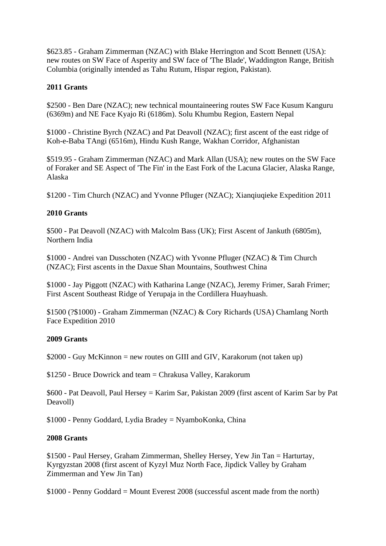\$623.85 - Graham Zimmerman (NZAC) with Blake Herrington and Scott Bennett (USA): new routes on SW Face of Asperity and SW face of 'The Blade', Waddington Range, British Columbia (originally intended as Tahu Rutum, Hispar region, Pakistan).

## **2011 Grants**

\$2500 - Ben Dare (NZAC); new technical mountaineering routes SW Face Kusum Kanguru (6369m) and NE Face Kyajo Ri (6186m). Solu Khumbu Region, Eastern Nepal

\$1000 - Christine Byrch (NZAC) and Pat Deavoll (NZAC); first ascent of the east ridge of Koh-e-Baba TAngi (6516m), Hindu Kush Range, Wakhan Corridor, Afghanistan

\$519.95 - Graham Zimmerman (NZAC) and Mark Allan (USA); new routes on the SW Face of Foraker and SE Aspect of 'The Fin' in the East Fork of the Lacuna Glacier, Alaska Range, Alaska

\$1200 - Tim Church (NZAC) and Yvonne Pfluger (NZAC); Xianqiuqieke Expedition 2011

## **2010 Grants**

\$500 - Pat Deavoll (NZAC) with Malcolm Bass (UK); First Ascent of Jankuth (6805m), Northern India

\$1000 - Andrei van Dusschoten (NZAC) with Yvonne Pfluger (NZAC) & Tim Church (NZAC); First ascents in the Daxue Shan Mountains, Southwest China

\$1000 - Jay Piggott (NZAC) with Katharina Lange (NZAC), Jeremy Frimer, Sarah Frimer; First Ascent Southeast Ridge of Yerupaja in the Cordillera Huayhuash.

\$1500 (?\$1000) - Graham Zimmerman (NZAC) & Cory Richards (USA) Chamlang North Face Expedition 2010

#### **2009 Grants**

\$2000 - Guy McKinnon = new routes on GIII and GIV, Karakorum (not taken up)

\$1250 - Bruce Dowrick and team = Chrakusa Valley, Karakorum

\$600 - Pat Deavoll, Paul Hersey = Karim Sar, Pakistan 2009 (first ascent of Karim Sar by Pat Deavoll)

\$1000 - Penny Goddard, Lydia Bradey = NyamboKonka, China

### **2008 Grants**

\$1500 - Paul Hersey, Graham Zimmerman, Shelley Hersey, Yew Jin Tan = Harturtay, Kyrgyzstan 2008 (first ascent of Kyzyl Muz North Face, Jipdick Valley by Graham Zimmerman and Yew Jin Tan)

\$1000 - Penny Goddard = Mount Everest 2008 (successful ascent made from the north)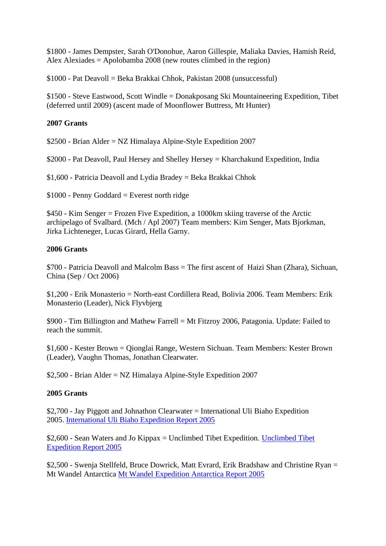\$1800 - James Dempster, Sarah O'Donohue, Aaron Gillespie, Maliaka Davies, Hamish Reid, Alex Alexiades = Apolobamba 2008 (new routes climbed in the region)

\$1000 - Pat Deavoll = Beka Brakkai Chhok, Pakistan 2008 (unsuccessful)

\$1500 - Steve Eastwood, Scott Windle = Donakposang Ski Mountaineering Expedition, Tibet (deferred until 2009) (ascent made of Moonflower Buttress, Mt Hunter)

## **2007 Grants**

\$2500 - Brian Alder = NZ Himalaya Alpine-Style Expedition 2007

\$2000 - Pat Deavoll, Paul Hersey and Shelley Hersey = Kharchakund Expedition, India

\$1,600 - Patricia Deavoll and Lydia Bradey = Beka Brakkai Chhok

 $$1000$  - Penny Goddard = Everest north ridge

\$450 - Kim Senger = Frozen Five Expedition, a 1000km skiing traverse of the Arctic archipelago of Svalbard. (Mch / Apl 2007) Team members: Kim Senger, Mats Bjorkman, Jirka Lichteneger, Lucas Girard, Hella Garny.

#### **2006 Grants**

\$700 - Patricia Deavoll and Malcolm Bass = The first ascent of Haizi Shan (Zhara), Sichuan, China (Sep / Oct 2006)

\$1,200 - Erik Monasterio = North-east Cordillera Read, Bolivia 2006. Team Members: Erik Monasterio (Leader), Nick Flyvbjerg

\$900 - Tim Billington and Mathew Farrell = Mt Fitzroy 2006, Patagonia. Update: Failed to reach the summit.

\$1,600 - Kester Brown = Qionglai Range, Western Sichuan. Team Members: Kester Brown (Leader), Vaughn Thomas, Jonathan Clearwater.

\$2,500 - Brian Alder = NZ Himalaya Alpine-Style Expedition 2007

## **2005 Grants**

\$2,700 - Jay Piggott and Johnathon Clearwater = International Uli Biaho Expedition 2005. [International Uli Biaho Expedition Report 2005](https://alpineclub.org.nz/parkside/wp-content/uploads/2018/09/International-Uli-Biaho-Expedition-2005-Jonathan-Clearwater.pdf)

\$2,600 - Sean Waters and Jo Kippax = Unclimbed Tibet Expedition. [Unclimbed Tibet](https://alpineclub.org.nz/parkside/wp-content/uploads/2018/09/Unclimbed-Tibet-Expedition-2005-Sean-Waters-and-Jo-Kippax.pdf)  [Expedition Report 2005](https://alpineclub.org.nz/parkside/wp-content/uploads/2018/09/Unclimbed-Tibet-Expedition-2005-Sean-Waters-and-Jo-Kippax.pdf)

\$2,500 - Swenja Stellfeld, Bruce Dowrick, Matt Evrard, Erik Bradshaw and Christine Ryan = Mt Wandel Antarctica [Mt Wandel Expedition Antarctica Report 2005](https://alpineclub.org.nz/parkside/wp-content/uploads/2018/09/Mt-Wandel-Expedtion-Antarctica-2005-Bruce-Dowrick.pdf)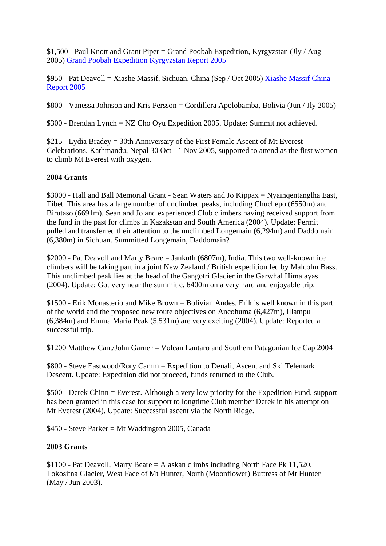\$1,500 - Paul Knott and Grant Piper = Grand Poobah Expedition, Kyrgyzstan (Jly / Aug 2005) [Grand Poobah Expedition Kyrgyzstan Report 2005](https://alpineclub.org.nz/parkside/wp-content/uploads/2018/09/Grand-Poobah-Expedition-Kyrgyzstan-2005-Paul-Knott-and-Grant-Piper.pdf)

\$950 - Pat Deavoll = Xiashe Massif, Sichuan, China (Sep / Oct 2005) [Xiashe Massif China](https://alpineclub.org.nz/parkside/wp-content/uploads/2018/09/Xiashe-Massif-China-2005-Pat-Deavoll.pdf)  [Report 2005](https://alpineclub.org.nz/parkside/wp-content/uploads/2018/09/Xiashe-Massif-China-2005-Pat-Deavoll.pdf)

\$800 - Vanessa Johnson and Kris Persson = Cordillera Apolobamba, Bolivia (Jun / Jly 2005)

\$300 - Brendan Lynch = NZ Cho Oyu Expedition 2005. Update: Summit not achieved.

\$215 - Lydia Bradey = 30th Anniversary of the First Female Ascent of Mt Everest Celebrations, Kathmandu, Nepal 30 Oct - 1 Nov 2005, supported to attend as the first women to climb Mt Everest with oxygen.

## **2004 Grants**

\$3000 - Hall and Ball Memorial Grant - Sean Waters and Jo Kippax = Nyainqentanglha East, Tibet. This area has a large number of unclimbed peaks, including Chuchepo (6550m) and Birutaso (6691m). Sean and Jo and experienced Club climbers having received support from the fund in the past for climbs in Kazakstan and South America (2004). Update: Permit pulled and transferred their attention to the unclimbed Longemain (6,294m) and Daddomain (6,380m) in Sichuan. Summitted Longemain, Daddomain?

\$2000 - Pat Deavoll and Marty Beare = Jankuth (6807m), India. This two well-known ice climbers will be taking part in a joint New Zealand / British expedition led by Malcolm Bass. This unclimbed peak lies at the head of the Gangotri Glacier in the Garwhal Himalayas (2004). Update: Got very near the summit c. 6400m on a very hard and enjoyable trip.

\$1500 - Erik Monasterio and Mike Brown = Bolivian Andes. Erik is well known in this part of the world and the proposed new route objectives on Ancohuma (6,427m), Illampu (6,384m) and Emma Maria Peak (5,531m) are very exciting (2004). Update: Reported a successful trip.

\$1200 Matthew Cant/John Garner = Volcan Lautaro and Southern Patagonian Ice Cap 2004

\$800 - Steve Eastwood/Rory Camm = Expedition to Denali, Ascent and Ski Telemark Descent. Update: Expedition did not proceed, funds returned to the Club.

\$500 - Derek Chinn = Everest. Although a very low priority for the Expedition Fund, support has been granted in this case for support to longtime Club member Derek in his attempt on Mt Everest (2004). Update: Successful ascent via the North Ridge.

\$450 - Steve Parker = Mt Waddington 2005, Canada

#### **2003 Grants**

\$1100 - Pat Deavoll, Marty Beare = Alaskan climbs including North Face Pk 11,520, Tokositna Glacier, West Face of Mt Hunter, North (Moonflower) Buttress of Mt Hunter (May / Jun 2003).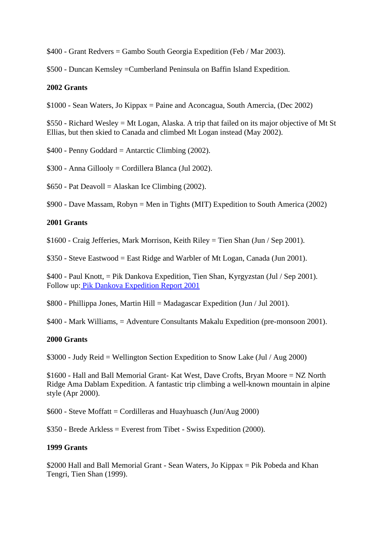\$400 - Grant Redvers = Gambo South Georgia Expedition (Feb / Mar 2003).

\$500 - Duncan Kemsley =Cumberland Peninsula on Baffin Island Expedition.

### **2002 Grants**

\$1000 - Sean Waters, Jo Kippax = Paine and Aconcagua, South Amercia, (Dec 2002)

\$550 - Richard Wesley = Mt Logan, Alaska. A trip that failed on its major objective of Mt St Ellias, but then skied to Canada and climbed Mt Logan instead (May 2002).

\$400 - Penny Goddard = Antarctic Climbing (2002).

\$300 - Anna Gillooly = Cordillera Blanca (Jul 2002).

\$650 - Pat Deavoll = Alaskan Ice Climbing (2002).

\$900 - Dave Massam, Robyn = Men in Tights (MIT) Expedition to South America (2002)

## **2001 Grants**

\$1600 - Craig Jefferies, Mark Morrison, Keith Riley = Tien Shan (Jun / Sep 2001).

\$350 - Steve Eastwood = East Ridge and Warbler of Mt Logan, Canada (Jun 2001).

\$400 - Paul Knott, = Pik Dankova Expedition, Tien Shan, Kyrgyzstan (Jul / Sep 2001). Follow up: [Pik Dankova Expedition Report 2001](https://alpineclub.org.nz/parkside/wp-content/uploads/2018/09/Pik-Dankova-Expedition-2001.pdf)

\$800 - Phillippa Jones, Martin Hill = Madagascar Expedition (Jun / Jul 2001).

\$400 - Mark Williams, = Adventure Consultants Makalu Expedition (pre-monsoon 2001).

#### **2000 Grants**

\$3000 - Judy Reid = Wellington Section Expedition to Snow Lake (Jul / Aug 2000)

\$1600 - Hall and Ball Memorial Grant- Kat West, Dave Crofts, Bryan Moore = NZ North Ridge Ama Dablam Expedition. A fantastic trip climbing a well-known mountain in alpine style (Apr 2000).

\$600 - Steve Moffatt = Cordilleras and Huayhuasch (Jun/Aug 2000)

 $$350$  - Brede Arkless = Everest from Tibet - Swiss Expedition (2000).

#### **1999 Grants**

\$2000 Hall and Ball Memorial Grant - Sean Waters, Jo Kippax = Pik Pobeda and Khan Tengri, Tien Shan (1999).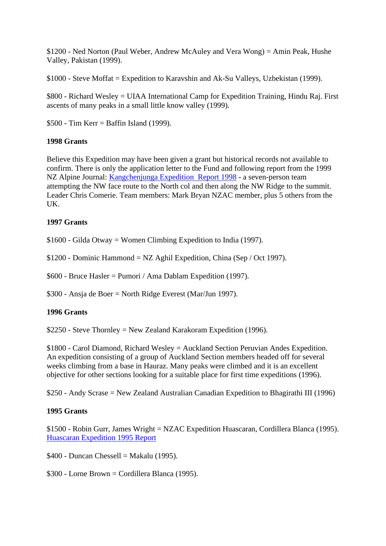\$1200 - Ned Norton (Paul Weber, Andrew McAuley and Vera Wong) = Amin Peak, Hushe Valley, Pakistan (1999).

\$1000 - Steve Moffat = Expedition to Karavshin and Ak-Su Valleys, Uzbekistan (1999).

\$800 - Richard Wesley = UIAA International Camp for Expedition Training, Hindu Raj. First ascents of many peaks in a small little know valley (1999).

\$500 - Tim Kerr = Baffin Island (1999).

## **1998 Grants**

Believe this Expedition may have been given a grant but historical records not available to confirm. There is only the application letter to the Fund and following report from the 1999 NZ Alpine Journal: [Kangchenjunga Expedition](https://alpineclub.org.nz/parkside/wp-content/uploads/2018/08/Kangchenjunga-1998-Expedition-Mark-Bryan-AJ1999.pdf) Report 1998 - a seven-person team attempting the NW face route to the North col and then along the NW Ridge to the summit. Leader Chris Comerie. Team members: Mark Bryan NZAC member, plus 5 others from the UK.

## **1997 Grants**

\$1600 - Gilda Otway = Women Climbing Expedition to India (1997).

 $$1200$  - Dominic Hammond = NZ Aghil Expedition, China (Sep / Oct 1997).

\$600 - Bruce Hasler = Pumori / Ama Dablam Expedition (1997).

\$300 - Ansja de Boer = North Ridge Everest (Mar/Jun 1997).

## **1996 Grants**

\$2250 - Steve Thornley = New Zealand Karakoram Expedition (1996).

\$1800 - Carol Diamond, Richard Wesley = Auckland Section Peruvian Andes Expedition. An expedition consisting of a group of Auckland Section members headed off for several weeks climbing from a base in Hauraz. Many peaks were climbed and it is an excellent objective for other sections looking for a suitable place for first time expeditions (1996).

\$250 - Andy Scrase = New Zealand Australian Canadian Expedition to Bhagirathi III (1996)

## **1995 Grants**

\$1500 - Robin Gurr, James Wright = NZAC Expedition Huascaran, Cordillera Blanca (1995). [Huascaran Expedition 1995 Report](https://alpineclub.org.nz/parkside/wp-content/uploads/2019/08/Huascaran-Expedition-1995-Robin-Gurr.pdf)

 $$400$  - Duncan Chessell = Makalu (1995).

\$300 - Lorne Brown = Cordillera Blanca (1995).